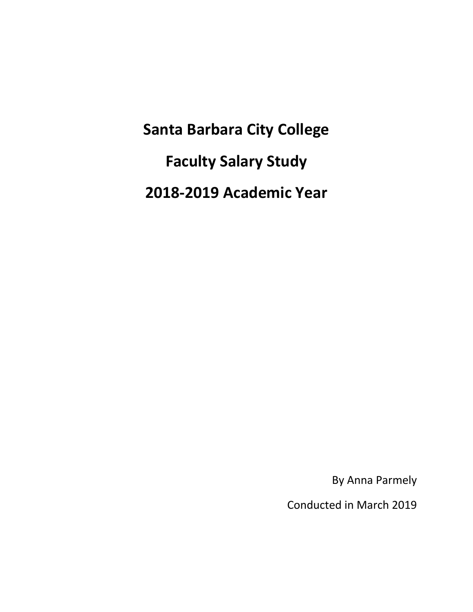**Santa Barbara City College Faculty Salary Study 2018‐2019 Academic Year** 

By Anna Parmely

Conducted in March 2019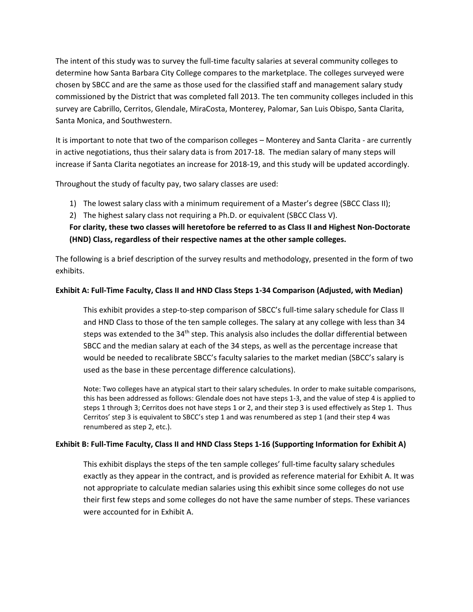The intent of this study was to survey the full‐time faculty salaries at several community colleges to determine how Santa Barbara City College compares to the marketplace. The colleges surveyed were chosen by SBCC and are the same as those used for the classified staff and management salary study commissioned by the District that was completed fall 2013. The ten community colleges included in this survey are Cabrillo, Cerritos, Glendale, MiraCosta, Monterey, Palomar, San Luis Obispo, Santa Clarita, Santa Monica, and Southwestern.

It is important to note that two of the comparison colleges – Monterey and Santa Clarita - are currently in active negotiations, thus their salary data is from 2017‐18. The median salary of many steps will increase if Santa Clarita negotiates an increase for 2018‐19, and this study will be updated accordingly.

Throughout the study of faculty pay, two salary classes are used:

- 1) The lowest salary class with a minimum requirement of a Master's degree (SBCC Class II);
- 2) The highest salary class not requiring a Ph.D. or equivalent (SBCC Class V).

#### **For clarity, these two classes will heretofore be referred to as Class II and Highest Non‐Doctorate (HND) Class, regardless of their respective names at the other sample colleges.**

The following is a brief description of the survey results and methodology, presented in the form of two exhibits.

#### **Exhibit A: Full‐Time Faculty, Class II and HND Class Steps 1‐34 Comparison (Adjusted, with Median)**

This exhibit provides a step-to-step comparison of SBCC's full-time salary schedule for Class II and HND Class to those of the ten sample colleges. The salary at any college with less than 34 steps was extended to the  $34<sup>th</sup>$  step. This analysis also includes the dollar differential between SBCC and the median salary at each of the 34 steps, as well as the percentage increase that would be needed to recalibrate SBCC's faculty salaries to the market median (SBCC's salary is used as the base in these percentage difference calculations).

Note: Two colleges have an atypical start to their salary schedules. In order to make suitable comparisons, this has been addressed as follows: Glendale does not have steps 1‐3, and the value of step 4 is applied to steps 1 through 3; Cerritos does not have steps 1 or 2, and their step 3 is used effectively as Step 1. Thus Cerritos' step 3 is equivalent to SBCC's step 1 and was renumbered as step 1 (and their step 4 was renumbered as step 2, etc.).

#### **Exhibit B: Full‐Time Faculty, Class II and HND Class Steps 1‐16 (Supporting Information for Exhibit A)**

This exhibit displays the steps of the ten sample colleges' full-time faculty salary schedules exactly as they appear in the contract, and is provided as reference material for Exhibit A. It was not appropriate to calculate median salaries using this exhibit since some colleges do not use their first few steps and some colleges do not have the same number of steps. These variances were accounted for in Exhibit A.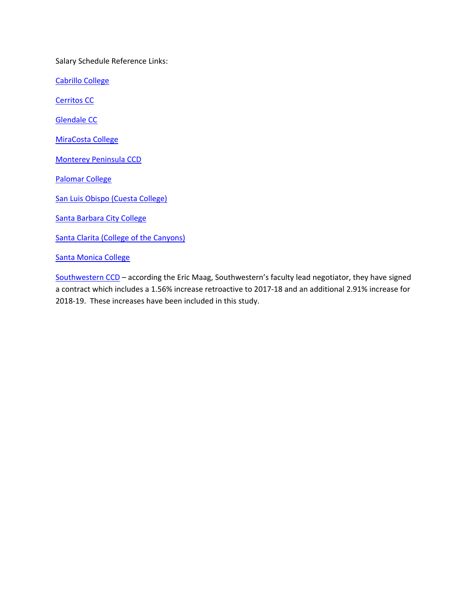Salary Schedule Reference Links:

Cabrillo College

Cerritos CC

Glendale CC

MiraCosta College

Monterey Peninsula CCD

Palomar College

San Luis Obispo (Cuesta College)

Santa Barbara City College

Santa Clarita (College of the Canyons)

Santa Monica College

Southwestern CCD – according the Eric Maag, Southwestern's faculty lead negotiator, they have signed a contract which includes a 1.56% increase retroactive to 2017‐18 and an additional 2.91% increase for 2018‐19. These increases have been included in this study.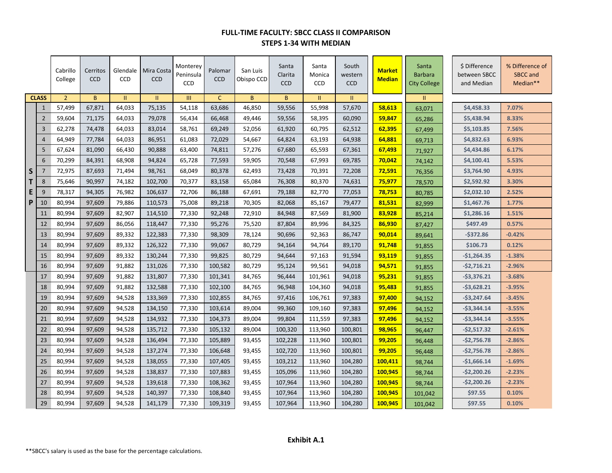## **FULL-TIME FACULTY: SBCC CLASS II COMPARISON STEPS 1-34 WITH MEDIAN**

|    |                | Cabrillo<br>College | Cerritos<br><b>CCD</b> | Glendale<br><b>CCD</b> | Mira Costa<br><b>CCD</b> | Monterey<br>Peninsula<br><b>CCD</b> | Palomar<br><b>CCD</b> | San Luis<br>Obispo CCD | Santa<br>Clarita<br><b>CCD</b> | Santa<br>Monica<br><b>CCD</b> | South<br>western<br><b>CCD</b> | <b>Market</b><br><b>Median</b> | Santa<br><b>Barbara</b><br><b>City College</b> | \$ Difference<br>between SBCC<br>and Median | % Difference of<br><b>SBCC</b> and<br>Median** |
|----|----------------|---------------------|------------------------|------------------------|--------------------------|-------------------------------------|-----------------------|------------------------|--------------------------------|-------------------------------|--------------------------------|--------------------------------|------------------------------------------------|---------------------------------------------|------------------------------------------------|
|    | <b>CLASS</b>   | $\overline{2}$      | $\mathsf{B}$           | П.                     | Ш                        | Ш                                   | $\mathsf{C}$          | B.                     | B                              | 11                            | П.                             |                                | Ш.                                             |                                             |                                                |
|    | $\mathbf 1$    | 57,499              | 67,871                 | 64,033                 | 75,135                   | 54,118                              | 63,686                | 46,850                 | 59,556                         | 55,998                        | 57,670                         | 58,613                         | 63,071                                         | \$4,458.33                                  | 7.07%                                          |
|    | $\overline{2}$ | 59,604              | 71,175                 | 64,033                 | 79,078                   | 56,434                              | 66,468                | 49,446                 | 59,556                         | 58,395                        | 60,090                         | 59,847                         | 65,286                                         | \$5,438.94                                  | 8.33%                                          |
|    | 3              | 62,278              | 74,478                 | 64,033                 | 83,014                   | 58,761                              | 69,249                | 52,056                 | 61,920                         | 60,795                        | 62,512                         | 62,395                         | 67,499                                         | \$5,103.85                                  | 7.56%                                          |
|    | $\overline{4}$ | 64,949              | 77,784                 | 64,033                 | 86,951                   | 61,083                              | 72,029                | 54,667                 | 64,824                         | 63,193                        | 64,938                         | 64,881                         | 69,713                                         | \$4,832.63                                  | 6.93%                                          |
|    | 5              | 67,624              | 81,090                 | 66,430                 | 90,888                   | 63,400                              | 74,811                | 57,276                 | 67,680                         | 65,593                        | 67,361                         | 67,493                         | 71,927                                         | \$4,434.86                                  | 6.17%                                          |
|    | 6              | 70,299              | 84,391                 | 68,908                 | 94,824                   | 65,728                              | 77,593                | 59,905                 | 70,548                         | 67,993                        | 69,785                         | 70,042                         | 74,142                                         | \$4,100.41                                  | 5.53%                                          |
| S. | $\overline{7}$ | 72,975              | 87,693                 | 71,494                 | 98,761                   | 68,049                              | 80,378                | 62,493                 | 73,428                         | 70,391                        | 72,208                         | 72,591                         | 76,356                                         | \$3,764.90                                  | 4.93%                                          |
| Τ  | 8              | 75,646              | 90,997                 | 74,182                 | 102,700                  | 70,377                              | 83,158                | 65,084                 | 76,308                         | 80,370                        | 74,631                         | 75,977                         | 78,570                                         | \$2,592.92                                  | 3.30%                                          |
| E  | 9              | 78,317              | 94,305                 | 76,982                 | 106,637                  | 72,706                              | 86,188                | 67,691                 | 79,188                         | 82,770                        | 77,053                         | 78,753                         | 80,785                                         | \$2,032.10                                  | 2.52%                                          |
| P  | 10             | 80,994              | 97,609                 | 79,886                 | 110,573                  | 75,008                              | 89,218                | 70,305                 | 82,068                         | 85,167                        | 79,477                         | 81,531                         | 82,999                                         | \$1,467.76                                  | 1.77%                                          |
|    | 11             | 80,994              | 97,609                 | 82,907                 | 114,510                  | 77,330                              | 92,248                | 72,910                 | 84,948                         | 87,569                        | 81,900                         | 83,928                         | 85,214                                         | \$1,286.16                                  | 1.51%                                          |
|    | 12             | 80,994              | 97,609                 | 86,056                 | 118,447                  | 77,330                              | 95,276                | 75,520                 | 87,804                         | 89,996                        | 84,325                         | 86,930                         | 87,427                                         | \$497.49                                    | 0.57%                                          |
|    | 13             | 80,994              | 97,609                 | 89,332                 | 122,383                  | 77,330                              | 98,309                | 78,124                 | 90,696                         | 92,363                        | 86,747                         | 90,014                         | 89,641                                         | $-5372.86$                                  | $-0.42%$                                       |
|    | 14             | 80,994              | 97,609                 | 89,332                 | 126,322                  | 77,330                              | 99,067                | 80,729                 | 94,164                         | 94,764                        | 89,170                         | 91,748                         | 91,855                                         | \$106.73                                    | 0.12%                                          |
|    | 15             | 80,994              | 97,609                 | 89,332                 | 130,244                  | 77,330                              | 99,825                | 80,729                 | 94,644                         | 97,163                        | 91,594                         | 93,119                         | 91,855                                         | $-$1,264.35$                                | $-1.38%$                                       |
|    | 16             | 80,994              | 97,609                 | 91,882                 | 131,026                  | 77,330                              | 100,582               | 80,729                 | 95,124                         | 99,561                        | 94,018                         | 94,571                         | 91,855                                         | $-52,716.21$                                | $-2.96%$                                       |
|    | 17             | 80,994              | 97,609                 | 91,882                 | 131,807                  | 77,330                              | 101,341               | 84,765                 | 96,444                         | 101,961                       | 94,018                         | 95,231                         | 91,855                                         | $-53,376.21$                                | $-3.68%$                                       |
|    | 18             | 80,994              | 97,609                 | 91,882                 | 132,588                  | 77,330                              | 102,100               | 84,765                 | 96,948                         | 104,360                       | 94,018                         | 95,483                         | 91,855                                         | $-53,628.21$                                | $-3.95%$                                       |
|    | 19             | 80,994              | 97,609                 | 94,528                 | 133,369                  | 77,330                              | 102,855               | 84,765                 | 97,416                         | 106,761                       | 97,383                         | 97,400                         | 94,152                                         | $-53,247.64$                                | $-3.45%$                                       |
|    | 20             | 80,994              | 97,609                 | 94,528                 | 134,150                  | 77,330                              | 103,614               | 89,004                 | 99,360                         | 109,160                       | 97,383                         | 97,496                         | 94,152                                         | $-53,344.14$                                | $-3.55%$                                       |
|    | 21             | 80,994              | 97,609                 | 94,528                 | 134,932                  | 77,330                              | 104,373               | 89,004                 | 99,804                         | 111,559                       | 97,383                         | 97,496                         | 94,152                                         | $-$3,344.14$                                | $-3.55%$                                       |
|    | 22             | 80,994              | 97,609                 | 94,528                 | 135,712                  | 77,330                              | 105,132               | 89,004                 | 100,320                        | 113,960                       | 100,801                        | 98,965                         | 96,447                                         | $-52,517.32$                                | $-2.61%$                                       |
|    | 23             | 80,994              | 97,609                 | 94,528                 | 136,494                  | 77,330                              | 105,889               | 93,455                 | 102,228                        | 113,960                       | 100,801                        | 99,205                         | 96,448                                         | $-$2,756.78$                                | $-2.86%$                                       |
|    | 24             | 80,994              | 97,609                 | 94,528                 | 137,274                  | 77,330                              | 106,648               | 93,455                 | 102,720                        | 113,960                       | 100,801                        | 99,205                         | 96,448                                         | $-$2,756.78$                                | $-2.86%$                                       |
|    | 25             | 80,994              | 97,609                 | 94,528                 | 138,055                  | 77,330                              | 107,405               | 93,455                 | 103,212                        | 113,960                       | 104,280                        | 100,411                        | 98,744                                         | $-$1,666.14$                                | $-1.69%$                                       |
|    | 26             | 80,994              | 97,609                 | 94,528                 | 138,837                  | 77,330                              | 107,883               | 93,455                 | 105,096                        | 113,960                       | 104,280                        | 100,945                        | 98,744                                         | $-$2,200.26$                                | $-2.23%$                                       |
|    | 27             | 80,994              | 97,609                 | 94,528                 | 139,618                  | 77,330                              | 108,362               | 93,455                 | 107,964                        | 113,960                       | 104,280                        | 100,945                        | 98,744                                         | $-52,200.26$                                | $-2.23%$                                       |
|    | 28             | 80,994              | 97,609                 | 94,528                 | 140,397                  | 77,330                              | 108,840               | 93,455                 | 107,964                        | 113,960                       | 104,280                        | 100,945                        | 101,042                                        | \$97.55                                     | 0.10%                                          |
|    | 29             | 80,994              | 97,609                 | 94,528                 | 141,179                  | 77,330                              | 109,319               | 93,455                 | 107,964                        | 113,960                       | 104,280                        | 100,945                        | 101,042                                        | \$97.55                                     | 0.10%                                          |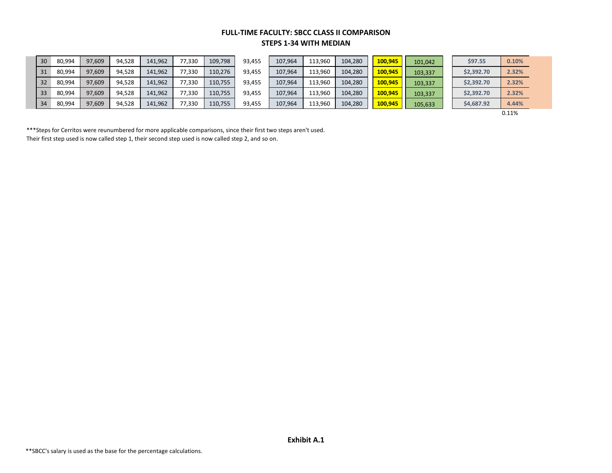### **FULL-TIME FACULTY: SBCC CLASS II COMPARISON STEPS 1-34 WITH MEDIAN**

| 30 <sup>°</sup> | 80,994 | 97,609 | 94,528 | 141,962 | 77,330 | 109,798 | 93,455 | 107,964 | 113,960 | 104,280 | 100,945 | 101,042 | \$97.55    | 0.10% |
|-----------------|--------|--------|--------|---------|--------|---------|--------|---------|---------|---------|---------|---------|------------|-------|
| 31              | 80,994 | 97,609 | 94,528 | 141,962 | 77,330 | 110,276 | 93,455 | 107,964 | 113,960 | 104,280 | 100,945 | 103,337 | \$2,392.70 | 2.32% |
| 32 <sub>1</sub> | 80,994 | 97,609 | 94,528 | 141,962 | 77,330 | 110,755 | 93,455 | 107,964 | 113,960 | 104,280 | 100,945 | 103,337 | \$2,392.70 | 2.32% |
| 33              | 80,994 | 97,609 | 94,528 | 141,962 | 77,330 | 110,755 | 93,455 | 107,964 | 113,960 | 104,280 | 100,945 | 103,337 | \$2,392.70 | 2.32% |
| 34              | 80,994 | 97,609 | 94,528 | 141,962 | 77,330 | 110,755 | 93,455 | 107,964 | 113,960 | 104,280 | 100,945 | 105,633 | \$4,687.92 | 4.44% |

0.11%

\*\*\*Steps for Cerritos were reunumbered for more applicable comparisons, since their first two steps aren't used. Their first step used is now called step 1, their second step used is now called step 2, and so on.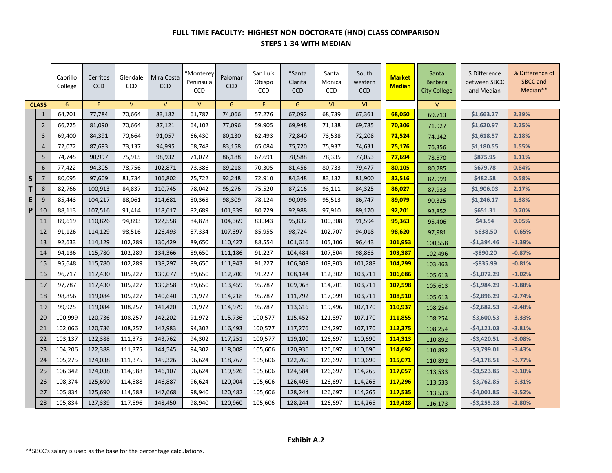## **FULL-TIME FACULTY: HIGHEST NON-DOCTORATE (HND) CLASS COMPARISON STEPS 1-34 WITH MEDIAN**

|   |                 | Cabrillo<br>College | Cerritos<br><b>CCD</b> | Glendale<br><b>CCD</b> | Mira Costa<br><b>CCD</b> | *Monterey<br>Peninsula<br><b>CCD</b> | Palomar<br><b>CCD</b> | San Luis<br>Obispo<br><b>CCD</b> | *Santa<br>Clarita<br><b>CCD</b> | Santa<br>Monica<br><b>CCD</b> | South<br>western<br><b>CCD</b> | <b>Market</b><br><b>Median</b> | Santa<br><b>Barbara</b><br><b>City College</b> | \$ Difference<br>between SBCC<br>and Median | % Difference of<br>SBCC and<br>Median** |
|---|-----------------|---------------------|------------------------|------------------------|--------------------------|--------------------------------------|-----------------------|----------------------------------|---------------------------------|-------------------------------|--------------------------------|--------------------------------|------------------------------------------------|---------------------------------------------|-----------------------------------------|
|   | <b>CLASS</b>    | 6                   | E                      | $\vee$                 | $\vee$                   | $\vee$                               | G                     | F.                               | G                               | VI                            | <b>VI</b>                      |                                | $\vee$                                         |                                             |                                         |
|   | $\mathbf{1}$    | 64,701              | 77,784                 | 70,664                 | 83,182                   | 61,787                               | 74,066                | 57,276                           | 67,092                          | 68,739                        | 67,361                         | 68,050                         | 69,713                                         | \$1,663.27                                  | 2.39%                                   |
|   | $\overline{2}$  | 66,725              | 81,090                 | 70,664                 | 87,121                   | 64,102                               | 77,096                | 59,905                           | 69,948                          | 71,138                        | 69,785                         | 70,306                         | 71,927                                         | \$1,620.97                                  | 2.25%                                   |
|   | $\overline{3}$  | 69,400              | 84,391                 | 70,664                 | 91,057                   | 66,430                               | 80,130                | 62,493                           | 72,840                          | 73,538                        | 72,208                         | 72,524                         | 74,142                                         | \$1,618.57                                  | 2.18%                                   |
|   | $\overline{4}$  | 72,072              | 87,693                 | 73,137                 | 94,995                   | 68,748                               | 83,158                | 65,084                           | 75,720                          | 75,937                        | 74,631                         | 75,176                         | 76,356                                         | \$1,180.55                                  | 1.55%                                   |
|   | 5               | 74,745              | 90,997                 | 75,915                 | 98,932                   | 71,072                               | 86,188                | 67,691                           | 78,588                          | 78,335                        | 77,053                         | 77,694                         | 78,570                                         | \$875.95                                    | 1.11%                                   |
|   | $6\phantom{1}6$ | 77,422              | 94,305                 | 78,756                 | 102,871                  | 73,386                               | 89,218                | 70,305                           | 81,456                          | 80,733                        | 79,477                         | 80,105                         | 80,785                                         | \$679.78                                    | 0.84%                                   |
| S | $\overline{7}$  | 80,095              | 97,609                 | 81,734                 | 106,802                  | 75,722                               | 92,248                | 72,910                           | 84,348                          | 83,132                        | 81,900                         | 82,516                         | 82,999                                         | \$482.58                                    | 0.58%                                   |
| T | 8               | 82,766              | 100,913                | 84,837                 | 110,745                  | 78,042                               | 95,276                | 75,520                           | 87,216                          | 93,111                        | 84,325                         | 86,027                         | 87,933                                         | \$1,906.03                                  | 2.17%                                   |
| E | 9               | 85,443              | 104,217                | 88,061                 | 114,681                  | 80,368                               | 98,309                | 78,124                           | 90,096                          | 95,513                        | 86,747                         | 89,079                         | 90,325                                         | \$1,246.17                                  | 1.38%                                   |
| P | 10              | 88,113              | 107,516                | 91,414                 | 118,617                  | 82,689                               | 101,339               | 80,729                           | 92,988                          | 97,910                        | 89,170                         | 92,201                         | 92,852                                         | \$651.31                                    | 0.70%                                   |
|   | 11              | 89,619              | 110,826                | 94,893                 | 122,558                  | 84,878                               | 104,369               | 83,343                           | 95,832                          | 100,308                       | 91,594                         | 95,363                         | 95,406                                         | \$43.54                                     | 0.05%                                   |
|   | 12              | 91,126              | 114,129                | 98,516                 | 126,493                  | 87,334                               | 107,397               | 85,955                           | 98,724                          | 102,707                       | 94,018                         | 98,620                         | 97,981                                         | $-5638.50$                                  | $-0.65%$                                |
|   | 13              | 92,633              | 114,129                | 102,289                | 130,429                  | 89,650                               | 110,427               | 88,554                           | 101,616                         | 105,106                       | 96,443                         | 101,953                        | 100,558                                        | $-$1,394.46$                                | $-1.39%$                                |
|   | 14              | 94,136              | 115,780                | 102,289                | 134,366                  | 89,650                               | 111,186               | 91,227                           | 104,484                         | 107,504                       | 98,863                         | 103,387                        | 102,496                                        | $-$ \$890.20                                | $-0.87%$                                |
|   | 15              | 95,648              | 115,780                | 102,289                | 138,297                  | 89,650                               | 111,943               | 91,227                           | 106,308                         | 109,903                       | 101,288                        | 104,299                        | 103,463                                        | $-5835.99$                                  | $-0.81%$                                |
|   | 16              | 96,717              | 117,430                | 105,227                | 139,077                  | 89,650                               | 112,700               | 91,227                           | 108,144                         | 112,302                       | 103,711                        | 106,686                        | 105,613                                        | $-$1,072.29$                                | $-1.02%$                                |
|   | 17              | 97,787              | 117,430                | 105,227                | 139,858                  | 89,650                               | 113,459               | 95,787                           | 109,968                         | 114,701                       | 103,711                        | 107,598                        | 105,613                                        | $-$1,984.29$                                | $-1.88%$                                |
|   | 18              | 98,856              | 119,084                | 105,227                | 140,640                  | 91,972                               | 114,218               | 95,787                           | 111,792                         | 117,099                       | 103,711                        | 108,510                        | 105,613                                        | $-52,896.29$                                | $-2.74%$                                |
|   | 19              | 99,925              | 119,084                | 108,257                | 141,420                  | 91,972                               | 114,979               | 95,787                           | 113,616                         | 119,496                       | 107,170                        | 110,937                        | 108,254                                        | $-52,682.53$                                | $-2.48%$                                |
|   | 20              | 100,999             | 120,736                | 108,257                | 142,202                  | 91,972                               | 115,736               | 100,577                          | 115,452                         | 121,897                       | 107,170                        | 111,855                        | 108,254                                        | $-$3,600.53$                                | $-3.33%$                                |
|   | 21              | 102,066             | 120,736                | 108,257                | 142,983                  | 94,302                               | 116,493               | 100,577                          | 117,276                         | 124,297                       | 107,170                        | 112,375                        | 108,254                                        | $-54,121.03$                                | $-3.81%$                                |
|   | 22              | 103,137             | 122,388                | 111,375                | 143,762                  | 94,302                               | 117,251               | 100,577                          | 119,100                         | 126,697                       | 110,690                        | 114,313                        | 110,892                                        | $-53,420.51$                                | $-3.08%$                                |
|   | 23              | 104,206             | 122,388                | 111,375                | 144,545                  | 94,302                               | 118,008               | 105,606                          | 120,936                         | 126,697                       | 110,690                        | 114,692                        | 110,892                                        | $-53,799.01$                                | $-3.43%$                                |
|   | 24              | 105,275             | 124,038                | 111,375                | 145,326                  | 96,624                               | 118,767               | 105,606                          | 122,760                         | 126,697                       | 110,690                        | 115,071                        | 110,892                                        | $-54,178.51$                                | $-3.77%$                                |
|   | 25              | 106,342             | 124,038                | 114,588                | 146,107                  | 96,624                               | 119,526               | 105,606                          | 124,584                         | 126,697                       | 114,265                        | 117,057                        | 113,533                                        | $-53,523.85$                                | $-3.10%$                                |
|   | 26              | 108,374             | 125,690                | 114,588                | 146,887                  | 96,624                               | 120,004               | 105,606                          | 126,408                         | 126,697                       | 114,265                        | 117,296                        | 113,533                                        | $-53,762.85$                                | $-3.31%$                                |
|   | 27              | 105,834             | 125,690                | 114,588                | 147,668                  | 98,940                               | 120,482               | 105,606                          | 128,244                         | 126,697                       | 114,265                        | 117,535                        | 113,533                                        | $-$4,001.85$                                | $-3.52%$                                |
|   | 28              | 105,834             | 127,339                | 117,896                | 148,450                  | 98,940                               | 120,960               | 105,606                          | 128,244                         | 126,697                       | 114,265                        | 119,428                        | 116,173                                        | $-53,255.28$                                | $-2.80%$                                |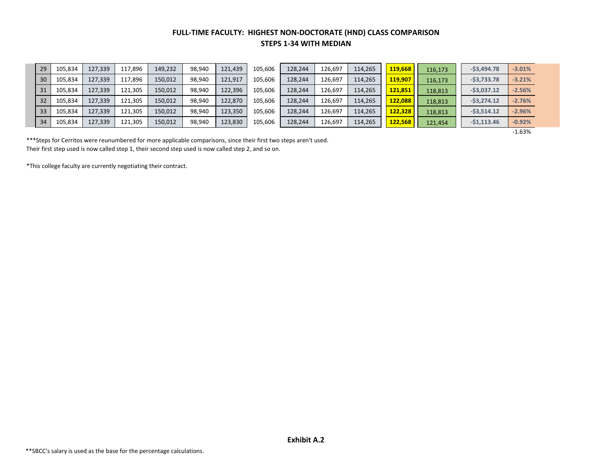### **FULL-TIME FACULTY: HIGHEST NON-DOCTORATE (HND) CLASS COMPARISON STEPS 1-34 WITH MEDIAN**

| 29 | 105,834 | 127,339 | 117,896 | 149,232 | 98,940 | 121,439 | 105,606 | 128,244 | 126,697 | 114,265 | 119,668 | 116,173 | $-53,494.78$ | $-3.01%$ |
|----|---------|---------|---------|---------|--------|---------|---------|---------|---------|---------|---------|---------|--------------|----------|
| 30 | 105,834 | 127,339 | 117,896 | 150,012 | 98,940 | 121,917 | 105,606 | 128,244 | 126,697 | 114,265 | 119,907 | 116,173 | $-53,733.78$ | $-3.21%$ |
| 31 | 105,834 | 127,339 | 121,305 | 150,012 | 98,940 | 122,396 | 105,606 | 128,244 | 126,697 | 114,265 | 121,851 | 118,813 | $-53,037.12$ | $-2.56%$ |
| 32 | 105,834 | 127,339 | 121,305 | 150,012 | 98,940 | 122,870 | 105,606 | 128,244 | 126,697 | 114,265 | 122,088 | 118,813 | $-53,274.12$ | $-2.76%$ |
| 33 | 105,834 | 127,339 | 121,305 | 150,012 | 98,940 | 123,350 | 105,606 | 128,244 | 126,697 | 114,265 | 122,328 | 118,813 | $-53,514.12$ | $-2.96%$ |
| 34 | 105,834 | 127,339 | 121,305 | 150,012 | 98,940 | 123,830 | 105,606 | 128,244 | 126,697 | 114,265 | 122,568 | 121,454 | $-51,113.46$ | $-0.92%$ |

-1.63%

\*\*\*Steps for Cerritos were reunumbered for more applicable comparisons, since their first two steps aren't used. Their first step used is now called step 1, their second step used is now called step 2, and so on.

\*This college faculty are currently negotiating their contract.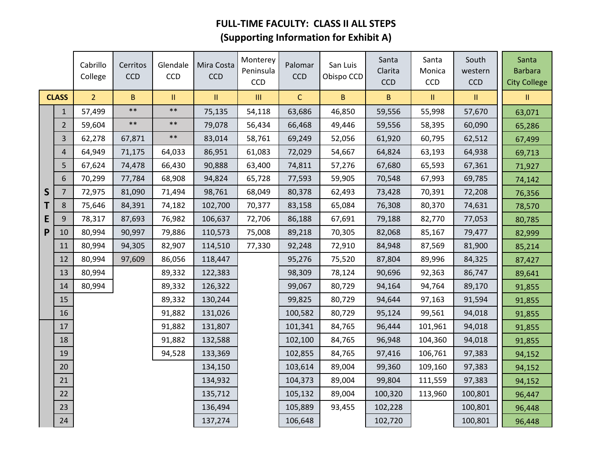# **FULL-TIME FACULTY: CLASS II ALL STEPS (Supporting Information for Exhibit A)**

|              |                | Cabrillo<br>College | Cerritos<br><b>CCD</b> | Glendale<br>CCD | Mira Costa<br><b>CCD</b> | Monterey<br>Peninsula<br><b>CCD</b> | Palomar<br><b>CCD</b> | San Luis<br>Obispo CCD | Santa<br>Clarita<br><b>CCD</b> | Santa<br>Monica<br>CCD | South<br>western<br><b>CCD</b>    | Santa<br><b>Barbara</b><br><b>City College</b> |
|--------------|----------------|---------------------|------------------------|-----------------|--------------------------|-------------------------------------|-----------------------|------------------------|--------------------------------|------------------------|-----------------------------------|------------------------------------------------|
|              | <b>CLASS</b>   | 2 <sup>1</sup>      | $\sf B$                | $\mathbf{II}$   | Ш                        | $\ensuremath{\mathsf{III}}\xspace$  | $\mathsf{C}$          | $\mathbf{B}$           | B                              | 11                     | $\ensuremath{\mathsf{II}}\xspace$ | Ш.                                             |
|              | $\mathbf{1}$   | 57,499              | $**$                   | $***$           | 75,135                   | 54,118                              | 63,686                | 46,850                 | 59,556                         | 55,998                 | 57,670                            | 63,071                                         |
|              | $\overline{2}$ | 59,604              | $***$                  | $\ast\ast$      | 79,078                   | 56,434                              | 66,468                | 49,446                 | 59,556                         | 58,395                 | 60,090                            | 65,286                                         |
|              | 3              | 62,278              | 67,871                 | $***$           | 83,014                   | 58,761                              | 69,249                | 52,056                 | 61,920                         | 60,795                 | 62,512                            | 67,499                                         |
|              | $\overline{4}$ | 64,949              | 71,175                 | 64,033          | 86,951                   | 61,083                              | 72,029                | 54,667                 | 64,824                         | 63,193                 | 64,938                            | 69,713                                         |
|              | 5              | 67,624              | 74,478                 | 66,430          | 90,888                   | 63,400                              | 74,811                | 57,276                 | 67,680                         | 65,593                 | 67,361                            | 71,927                                         |
|              | 6              | 70,299              | 77,784                 | 68,908          | 94,824                   | 65,728                              | 77,593                | 59,905                 | 70,548                         | 67,993                 | 69,785                            | 74,142                                         |
| $\mathsf{S}$ | $\overline{7}$ | 72,975              | 81,090                 | 71,494          | 98,761                   | 68,049                              | 80,378                | 62,493                 | 73,428                         | 70,391                 | 72,208                            | 76,356                                         |
| Т            | 8              | 75,646              | 84,391                 | 74,182          | 102,700                  | 70,377                              | 83,158                | 65,084                 | 76,308                         | 80,370                 | 74,631                            | 78,570                                         |
| E            | 9              | 78,317              | 87,693                 | 76,982          | 106,637                  | 72,706                              | 86,188                | 67,691                 | 79,188                         | 82,770                 | 77,053                            | 80,785                                         |
| P            | 10             | 80,994              | 90,997                 | 79,886          | 110,573                  | 75,008                              | 89,218                | 70,305                 | 82,068                         | 85,167                 | 79,477                            | 82,999                                         |
|              | 11             | 80,994              | 94,305                 | 82,907          | 114,510                  | 77,330                              | 92,248                | 72,910                 | 84,948                         | 87,569                 | 81,900                            | 85,214                                         |
|              | 12             | 80,994              | 97,609                 | 86,056          | 118,447                  |                                     | 95,276                | 75,520                 | 87,804                         | 89,996                 | 84,325                            | 87,427                                         |
|              | 13             | 80,994              |                        | 89,332          | 122,383                  |                                     | 98,309                | 78,124                 | 90,696                         | 92,363                 | 86,747                            | 89,641                                         |
|              | 14             | 80,994              |                        | 89,332          | 126,322                  |                                     | 99,067                | 80,729                 | 94,164                         | 94,764                 | 89,170                            | 91,855                                         |
|              | 15             |                     |                        | 89,332          | 130,244                  |                                     | 99,825                | 80,729                 | 94,644                         | 97,163                 | 91,594                            | 91,855                                         |
|              | 16             |                     |                        | 91,882          | 131,026                  |                                     | 100,582               | 80,729                 | 95,124                         | 99,561                 | 94,018                            | 91,855                                         |
|              | 17             |                     |                        | 91,882          | 131,807                  |                                     | 101,341               | 84,765                 | 96,444                         | 101,961                | 94,018                            | 91,855                                         |
|              | 18             |                     |                        | 91,882          | 132,588                  |                                     | 102,100               | 84,765                 | 96,948                         | 104,360                | 94,018                            | 91,855                                         |
|              | 19             |                     |                        | 94,528          | 133,369                  |                                     | 102,855               | 84,765                 | 97,416                         | 106,761                | 97,383                            | 94,152                                         |
|              | 20             |                     |                        |                 | 134,150                  |                                     | 103,614               | 89,004                 | 99,360                         | 109,160                | 97,383                            | 94,152                                         |
|              | 21             |                     |                        |                 | 134,932                  |                                     | 104,373               | 89,004                 | 99,804                         | 111,559                | 97,383                            | 94,152                                         |
|              | 22             |                     |                        |                 | 135,712                  |                                     | 105,132               | 89,004                 | 100,320                        | 113,960                | 100,801                           | 96,447                                         |
|              | 23             |                     |                        |                 | 136,494                  |                                     | 105,889               | 93,455                 | 102,228                        |                        | 100,801                           | 96,448                                         |
|              | 24             |                     |                        |                 | 137,274                  |                                     | 106,648               |                        | 102,720                        |                        | 100,801                           | 96,448                                         |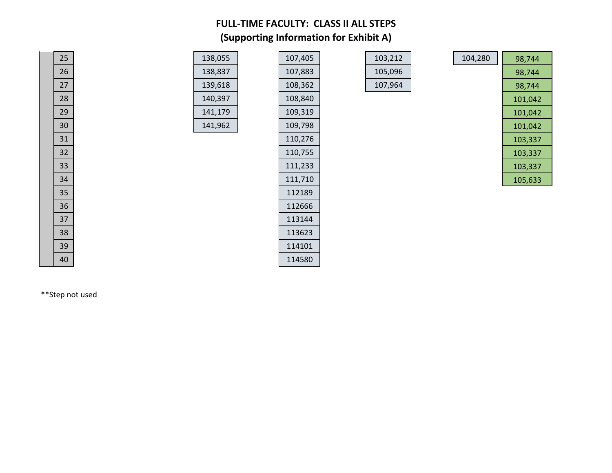## **FULL-TIME FACULTY: CLASS II ALL STEPS (Supporting Information for Exhibit A)**

| 138,055 |  |
|---------|--|
| 138,837 |  |
| 139,618 |  |
| 140,397 |  |
| 141,179 |  |
| 141,962 |  |

| 25 | 138,055 | 107,405 |
|----|---------|---------|
| 26 | 138,837 | 107,883 |
| 27 | 139,618 | 108,362 |
| 28 | 140,397 | 108,840 |
| 29 | 141,179 | 109,319 |
| 30 | 141,962 | 109,798 |
| 31 |         | 110,276 |
| 32 |         | 110,755 |
| 33 |         | 111,233 |
| 34 |         | 111,710 |
| 35 |         | 112189  |
| 36 |         | 112666  |
| 37 |         | 113144  |
| 38 |         | 113623  |
| 39 |         | 114101  |
| 40 |         | 114580  |
|    |         |         |

| 103,212 |  |
|---------|--|
| 105,096 |  |
| 107.964 |  |

| 25 | 138,055 | 107,405 | 103,212 | 104,280 | 98,744  |
|----|---------|---------|---------|---------|---------|
| 26 | 138,837 | 107,883 | 105,096 |         | 98,744  |
| 27 | 139,618 | 108,362 | 107,964 |         | 98,744  |
| 28 | 140,397 | 108,840 |         |         | 101,042 |
| 29 | 141,179 | 109,319 |         |         | 101,042 |
| 30 | 141,962 | 109,798 |         |         | 101,042 |
| 31 |         | 110,276 |         |         | 103,337 |
| 32 |         | 110,755 |         |         | 103,337 |
| 33 |         | 111,233 |         |         | 103,337 |
| 34 |         | 111,710 |         |         | 105,633 |

\*\*Step not used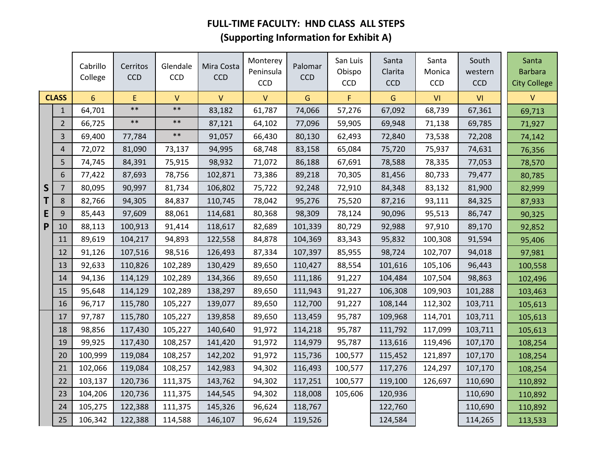# **FULL-TIME FACULTY: HND CLASS ALL STEPS (Supporting Information for Exhibit A)**

|              |                | Cabrillo<br>College | Cerritos<br><b>CCD</b> | Glendale<br>CCD | Mira Costa<br><b>CCD</b> | Monterey<br>Peninsula<br><b>CCD</b> | Palomar<br><b>CCD</b> | San Luis<br>Obispo<br><b>CCD</b> | Santa<br>Clarita<br><b>CCD</b> | Santa<br>Monica<br>CCD | South<br>western<br><b>CCD</b> | Santa<br><b>Barbara</b><br><b>City College</b> |
|--------------|----------------|---------------------|------------------------|-----------------|--------------------------|-------------------------------------|-----------------------|----------------------------------|--------------------------------|------------------------|--------------------------------|------------------------------------------------|
|              | <b>CLASS</b>   | 6                   | E                      | $\mathsf{V}$    | $\mathsf{V}$             | V                                   | G                     | F                                | G                              | VI                     | VI                             | v                                              |
|              | $\mathbf{1}$   | 64,701              | $***$                  | $***$           | 83,182                   | 61,787                              | 74,066                | 57,276                           | 67,092                         | 68,739                 | 67,361                         | 69,713                                         |
|              | $\overline{2}$ | 66,725              | $***$                  | $***$           | 87,121                   | 64,102                              | 77,096                | 59,905                           | 69,948                         | 71,138                 | 69,785                         | 71,927                                         |
|              | 3              | 69,400              | 77,784                 | $**$            | 91,057                   | 66,430                              | 80,130                | 62,493                           | 72,840                         | 73,538                 | 72,208                         | 74,142                                         |
|              | 4              | 72,072              | 81,090                 | 73,137          | 94,995                   | 68,748                              | 83,158                | 65,084                           | 75,720                         | 75,937                 | 74,631                         | 76,356                                         |
|              | 5              | 74,745              | 84,391                 | 75,915          | 98,932                   | 71,072                              | 86,188                | 67,691                           | 78,588                         | 78,335                 | 77,053                         | 78,570                                         |
|              | 6              | 77,422              | 87,693                 | 78,756          | 102,871                  | 73,386                              | 89,218                | 70,305                           | 81,456                         | 80,733                 | 79,477                         | 80,785                                         |
| $\mathsf{S}$ | $\overline{7}$ | 80,095              | 90,997                 | 81,734          | 106,802                  | 75,722                              | 92,248                | 72,910                           | 84,348                         | 83,132                 | 81,900                         | 82,999                                         |
| Т            | 8              | 82,766              | 94,305                 | 84,837          | 110,745                  | 78,042                              | 95,276                | 75,520                           | 87,216                         | 93,111                 | 84,325                         | 87,933                                         |
| E            | 9              | 85,443              | 97,609                 | 88,061          | 114,681                  | 80,368                              | 98,309                | 78,124                           | 90,096                         | 95,513                 | 86,747                         | 90,325                                         |
| P            | 10             | 88,113              | 100,913                | 91,414          | 118,617                  | 82,689                              | 101,339               | 80,729                           | 92,988                         | 97,910                 | 89,170                         | 92,852                                         |
|              | 11             | 89,619              | 104,217                | 94,893          | 122,558                  | 84,878                              | 104,369               | 83,343                           | 95,832                         | 100,308                | 91,594                         | 95,406                                         |
|              | 12             | 91,126              | 107,516                | 98,516          | 126,493                  | 87,334                              | 107,397               | 85,955                           | 98,724                         | 102,707                | 94,018                         | 97,981                                         |
|              | 13             | 92,633              | 110,826                | 102,289         | 130,429                  | 89,650                              | 110,427               | 88,554                           | 101,616                        | 105,106                | 96,443                         | 100,558                                        |
|              | 14             | 94,136              | 114,129                | 102,289         | 134,366                  | 89,650                              | 111,186               | 91,227                           | 104,484                        | 107,504                | 98,863                         | 102,496                                        |
|              | 15             | 95,648              | 114,129                | 102,289         | 138,297                  | 89,650                              | 111,943               | 91,227                           | 106,308                        | 109,903                | 101,288                        | 103,463                                        |
|              | 16             | 96,717              | 115,780                | 105,227         | 139,077                  | 89,650                              | 112,700               | 91,227                           | 108,144                        | 112,302                | 103,711                        | 105,613                                        |
|              | 17             | 97,787              | 115,780                | 105,227         | 139,858                  | 89,650                              | 113,459               | 95,787                           | 109,968                        | 114,701                | 103,711                        | 105,613                                        |
|              | 18             | 98,856              | 117,430                | 105,227         | 140,640                  | 91,972                              | 114,218               | 95,787                           | 111,792                        | 117,099                | 103,711                        | 105,613                                        |
|              | 19             | 99,925              | 117,430                | 108,257         | 141,420                  | 91,972                              | 114,979               | 95,787                           | 113,616                        | 119,496                | 107,170                        | 108,254                                        |
|              | 20             | 100,999             | 119,084                | 108,257         | 142,202                  | 91,972                              | 115,736               | 100,577                          | 115,452                        | 121,897                | 107,170                        | 108,254                                        |
|              | 21             | 102,066             | 119,084                | 108,257         | 142,983                  | 94,302                              | 116,493               | 100,577                          | 117,276                        | 124,297                | 107,170                        | 108,254                                        |
|              | 22             | 103,137             | 120,736                | 111,375         | 143,762                  | 94,302                              | 117,251               | 100,577                          | 119,100                        | 126,697                | 110,690                        | 110,892                                        |
|              | 23             | 104,206             | 120,736                | 111,375         | 144,545                  | 94,302                              | 118,008               | 105,606                          | 120,936                        |                        | 110,690                        | 110,892                                        |
|              | 24             | 105,275             | 122,388                | 111,375         | 145,326                  | 96,624                              | 118,767               |                                  | 122,760                        |                        | 110,690                        | 110,892                                        |
|              | 25             | 106,342             | 122,388                | 114,588         | 146,107                  | 96,624                              | 119,526               |                                  | 124,584                        |                        | 114,265                        | 113,533                                        |